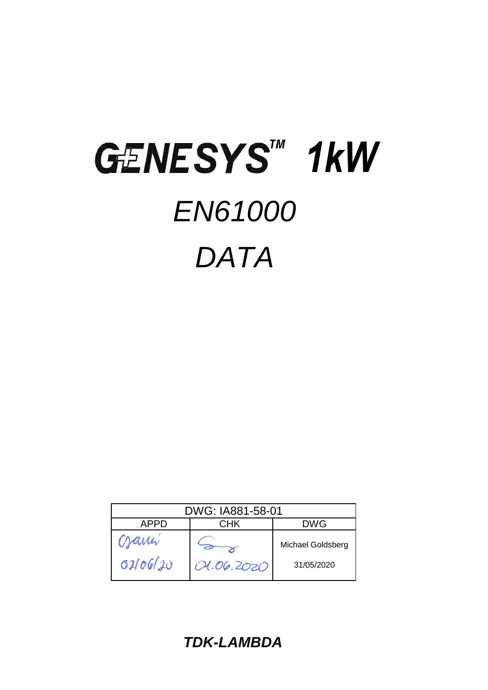# GENESYS<sup>TM</sup> 1kW *EN61000 DATA*

| DWG: IA881-58-01          |                          |            |  |  |
|---------------------------|--------------------------|------------|--|--|
| CHK<br><b>DWG</b><br>APPD |                          |            |  |  |
| Crami                     | <b>Michael Goldsberg</b> |            |  |  |
| 02/06/20                  | 01.06.2020               | 31/05/2020 |  |  |

*TDK-LAMBDA*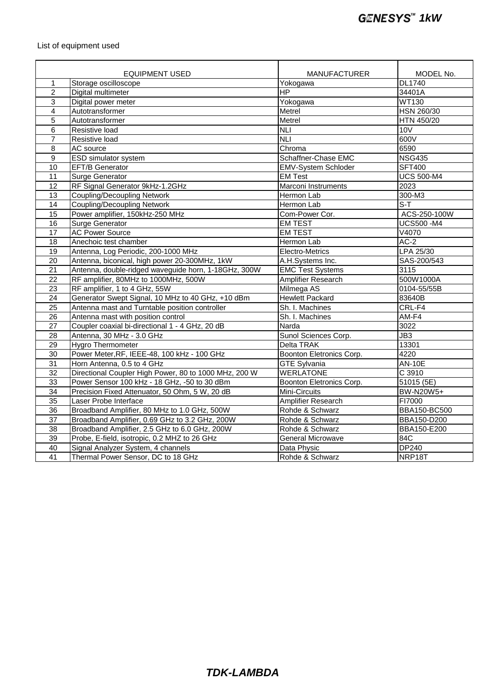## List of equipment used

|                 | <b>EQUIPMENT USED</b>                                 | <b>MANUFACTURER</b>        | MODEL No.         |
|-----------------|-------------------------------------------------------|----------------------------|-------------------|
| $\mathbf{1}$    | Storage oscilloscope                                  | Yokogawa                   | DL1740            |
| $\overline{2}$  | Digital multimeter                                    | $\overline{HP}$            | 34401A            |
| 3               | Digital power meter                                   | Yokogawa                   | <b>WT130</b>      |
| 4               | Autotransformer                                       | Metrel                     | <b>HSN 260/30</b> |
| 5               | Autotransformer                                       | Metrel                     | HTN 450/20        |
| 6               | Resistive load                                        | <b>NLI</b>                 | 10V               |
| $\overline{7}$  | Resistive load                                        | <b>NLI</b>                 | 600V              |
| 8               | AC source                                             | Chroma                     | 6590              |
| $\overline{9}$  | ESD simulator system                                  | Schaffner-Chase EMC        | <b>NSG435</b>     |
| 10              | <b>EFT/B Generator</b>                                | <b>EMV-System Schloder</b> | <b>SFT400</b>     |
| 11              | <b>Surge Generator</b>                                | <b>EM Test</b>             | <b>UCS 500-M4</b> |
| 12              | RF Signal Generator 9kHz-1.2GHz                       | Marconi Instruments        | 2023              |
| 13              | <b>Coupling/Decoupling Network</b>                    | Hermon Lab                 | 300-M3            |
| 14              | <b>Coupling/Decoupling Network</b>                    | Hermon Lab                 | $S-T$             |
| 15              | Power amplifier, 150kHz-250 MHz                       | Com-Power Cor.             | ACS-250-100W      |
| 16              | <b>Surge Generator</b>                                | <b>EM TEST</b>             | <b>UCS500 -M4</b> |
| 17              | <b>AC Power Source</b>                                | <b>EM TEST</b>             | V4070             |
| 18              | Anechoic test chamber                                 | Hermon Lab                 | $AC-2$            |
| 19              | Antenna, Log Periodic, 200-1000 MHz                   | Electro-Metrics            | LPA 25/30         |
| 20              | Antenna, biconical, high power 20-300MHz, 1kW         | A.H.Systems Inc.           | SAS-200/543       |
| $\overline{21}$ | Antenna, double-ridged waveguide horn, 1-18GHz, 300W  | <b>EMC Test Systems</b>    | 3115              |
| 22              | RF amplifier, 80MHz to 1000MHz, 500W                  | Amplifier Research         | 500W1000A         |
| $\overline{23}$ | RF amplifier, 1 to 4 GHz, 55W                         | Milmega AS                 | 0104-55/55B       |
| 24              | Generator Swept Signal, 10 MHz to 40 GHz, +10 dBm     | <b>Hewlett Packard</b>     | 83640B            |
| $\overline{25}$ | Antenna mast and Turntable position controller        | Sh. I. Machines            | CRL-F4            |
| $\overline{26}$ | Antenna mast with position control                    | Sh. I. Machines            | $AM-F4$           |
| 27              | Coupler coaxial bi-directional 1 - 4 GHz, 20 dB       | Narda                      | 3022              |
| $\overline{28}$ | Antenna, 30 MHz - 3.0 GHz                             | Sunol Sciences Corp.       | JB3               |
| $\overline{29}$ | Hygro Thermometer                                     | Delta TRAK                 | 13301             |
| $\overline{30}$ | Power Meter, RF, IEEE-48, 100 kHz - 100 GHz           | Boonton Eletronics Corp.   | 4220              |
| 31              | Horn Antenna, 0.5 to 4 GHz                            | <b>GTE Sylvania</b>        | <b>AN-10E</b>     |
| $\overline{32}$ | Directional Coupler High Power, 80 to 1000 MHz, 200 W | <b>WERLATONE</b>           | C 3910            |
| 33              | Power Sensor 100 kHz - 18 GHz, -50 to 30 dBm          | Boonton Eletronics Corp.   | 51015 (5E)        |
| $\overline{34}$ | Precision Fixed Attenuator, 50 Ohm, 5 W, 20 dB        | Mini-Circuits              | BW-N20W5+         |
| 35              | Laser Probe Interface                                 | <b>Amplifier Research</b>  | FI7000            |
| $\overline{36}$ | Broadband Amplifier, 80 MHz to 1.0 GHz, 500W          | Rohde & Schwarz            | BBA150-BC500      |
| 37              | Broadband Amplifier, 0.69 GHz to 3.2 GHz, 200W        | Rohde & Schwarz            | BBA150-D200       |
| 38              | Broadband Amplifier, 2.5 GHz to 6.0 GHz, 200W         | Rohde & Schwarz            | BBA150-E200       |
| 39              | Probe, E-field, isotropic, 0.2 MHZ to 26 GHz          | General Microwave          | 84C               |
| 40              | Signal Analyzer System, 4 channels                    | Data Physic                | <b>DP240</b>      |
| 41              | Thermal Power Sensor, DC to 18 GHz                    | Rohde & Schwarz            | NRP18T            |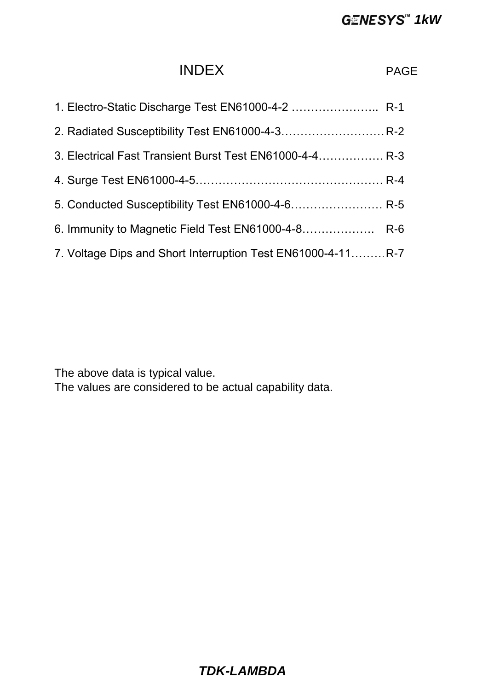# **GENESYS<sup>™</sup> 1kW**

# INDEX PAGE

| 1. Electro-Static Discharge Test EN61000-4-2  R-1            |  |
|--------------------------------------------------------------|--|
|                                                              |  |
| 3. Electrical Fast Transient Burst Test EN61000-4-4 R-3      |  |
|                                                              |  |
| 5. Conducted Susceptibility Test EN61000-4-6 R-5             |  |
| 6. Immunity to Magnetic Field Test EN61000-4-8 R-6           |  |
| 7. Voltage Dips and Short Interruption Test EN61000-4-11 R-7 |  |

The above data is typical value.

The values are considered to be actual capability data.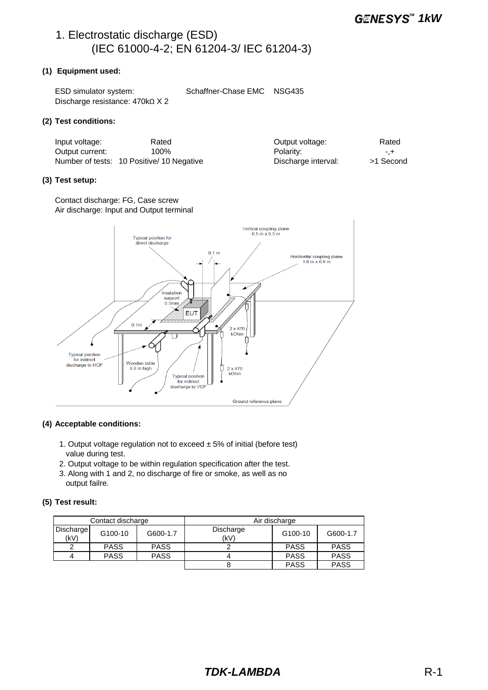# 1. Electrostatic discharge (ESD) (IEC 61000-4-2; EN 61204-3/ IEC 61204-3)

#### **(1) Equipment used:**

| ESD simulator system:                 | Schaffner-Chase EMC NSG435 |  |
|---------------------------------------|----------------------------|--|
| Discharge resistance: $470k\Omega X2$ |                            |  |

#### **(2) Test conditions:**

| Input voltage:  | Rated                                     | Output voltage:     | Rated     |
|-----------------|-------------------------------------------|---------------------|-----------|
| Output current: | 100%                                      | Polarity:           | -.+       |
|                 | Number of tests: 10 Positive/ 10 Negative | Discharge interval: | >1 Second |

#### **(3) Test setup:**

Contact discharge: FG, Case screw Air discharge: Input and Output terminal



#### **(4) Acceptable conditions:**

- 1. Output voltage regulation not to exceed  $\pm$  5% of initial (before test) value during test.
- 2. Output voltage to be within regulation specification after the test.
- 3. Along with 1 and 2, no discharge of fire or smoke, as well as no output failre.

#### **(5) Test result:**

| Contact discharge |             | Air discharge |                   |             |             |
|-------------------|-------------|---------------|-------------------|-------------|-------------|
| Discharge<br>(kV) | G100-10     | G600-1.7      | Discharge<br>(kV) | G100-10     | G600-1.7    |
|                   | <b>PASS</b> | <b>PASS</b>   |                   | <b>PASS</b> | <b>PASS</b> |
| Δ                 | <b>PASS</b> | <b>PASS</b>   |                   | <b>PASS</b> | <b>PASS</b> |
|                   |             |               |                   | <b>PASS</b> | <b>PASS</b> |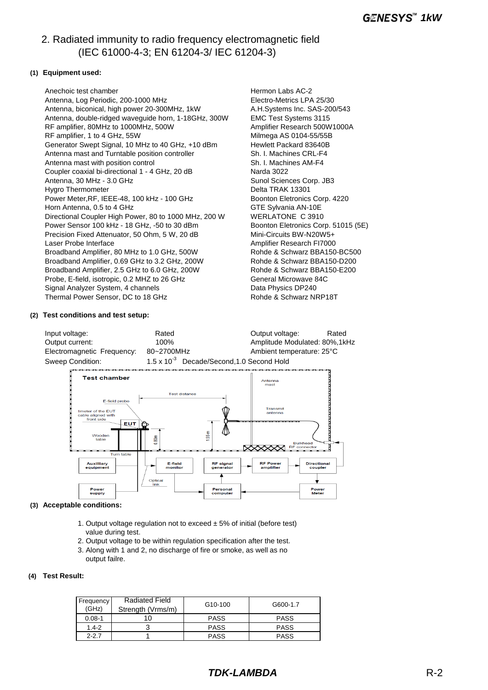# 2. Radiated immunity to radio frequency electromagnetic field (IEC 61000-4-3; EN 61204-3/ IEC 61204-3)

#### **(1) Equipment used:**

Anechoic test chamber **Hermon Labs AC-2 Hermon Labs AC-2**  Antenna, Log Periodic, 200-1000 MHz Electro-Metrics LPA 25/30 Antenna, biconical, high power 20-300MHz, 1kW A.H.Systems Inc. SAS-200/543 Antenna, double-ridged waveguide horn, 1-18GHz, 300W EMC Test Systems 3115 RF amplifier, 80MHz to 1000MHz, 500W Amplifier Research 500W1000A RF amplifier, 1 to 4 GHz, 55W Milmega AS 0104-55/55B Generator Swept Signal, 10 MHz to 40 GHz, +10 dBm Hewlett Packard 83640B Antenna mast and Turntable position controller Sh. I. Machines CRL-F4 Antenna mast with position control Sh. I. Machines AM-F4 Coupler coaxial bi-directional 1 - 4 GHz, 20 dB<br>
Antenna, 30 MHz - 3.0 GHz<br>
Sunol Sciences Corp. JB3 Antenna, 30 MHz - 3.0 GHz Hygro Thermometer **Delta TRAK 13301**<br>Power Meter,RF, IEEE-48, 100 kHz - 100 GHz Boonton Eletronics Corp. 4220 Power Meter, RF, IEEE-48, 100 kHz - 100 GHz Horn Antenna, 0.5 to 4 GHz GTE Sylvania AN-10E Directional Coupler High Power, 80 to 1000 MHz, 200 W WERLATONE C 3910 Power Sensor 100 kHz - 18 GHz, -50 to 30 dBm Boonton Eletronics Corp. 51015 (5E) Precision Fixed Attenuator, 50 Ohm, 5 W, 20 dB Mini-Circuits BW-N20W5+ Laser Probe Interface **Amplifier Research FI7000** Broadband Amplifier, 80 MHz to 1.0 GHz, 500W Rohde & Schwarz BBA150-BC500<br>Broadband Amplifier. 0.69 GHz to 3.2 GHz, 200W Rohde & Schwarz BBA150-D200 Broadband Amplifier, 0.69 GHz to 3.2 GHz, 200W Broadband Amplifier, 2.5 GHz to 6.0 GHz, 200W Rohde & Schwarz BBA150-E200 Probe, E-field, isotropic, 0.2 MHZ to 26 GHz General Microwave 84C Signal Analyzer System, 4 channels Data Physics DP240 Thermal Power Sensor, DC to 18 GHz Rohde & Schwarz NRP18T

#### **(2) Test conditions and test setup:**

Input voltage: The Rated Couput voltage: Rated Couput voltage: Rated Rated Output current: 100% Amplitude Modulated: 80%,1kHz Electromagnetic Frequency: 80~2700MHz Ambient temperature: 25°C Sweep Condition: 1.5 x 10<sup>-3</sup> Decade/Second, 1.0 Second Hold



#### **(3) Acceptable conditions:**

- 1. Output voltage regulation not to exceed  $\pm$  5% of initial (before test) value during test.
- 2. Output voltage to be within regulation specification after the test.
- 3. Along with 1 and 2, no discharge of fire or smoke, as well as no output failre.

#### **(4) Test Result:**

| Frequency<br>(GHz) | <b>Radiated Field</b><br>Strength (Vrms/m) | G <sub>10</sub> -100 | G600-1.7    |
|--------------------|--------------------------------------------|----------------------|-------------|
| $0.08 - 1$         | 10                                         | <b>PASS</b>          | <b>PASS</b> |
| $1.4 - 2$          |                                            | <b>PASS</b>          | <b>PASS</b> |
| $2 - 2.7$          |                                            | <b>PASS</b>          | <b>PASS</b> |

# *TDK-LAMBDA* R-2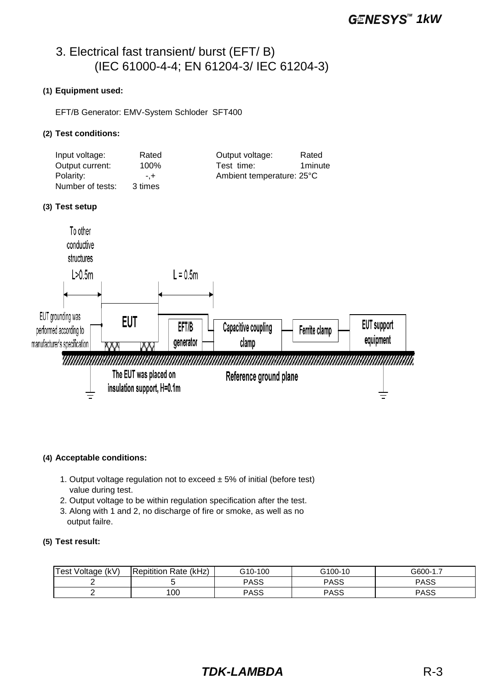# 3. Electrical fast transient/ burst (EFT/ B) (IEC 61000-4-4; EN 61204-3/ IEC 61204-3)

#### **(1) Equipment used:**

EFT/B Generator: EMV-System Schloder SFT400

#### **(2) Test conditions:**

| Input voltage:   | Rated   | Output voltage:           | Rated   |
|------------------|---------|---------------------------|---------|
| Output current:  | 100%    | Test time:                | 1minute |
| Polarity:        | $-1$    | Ambient temperature: 25°C |         |
| Number of tests: | 3 times |                           |         |

#### **(3) Test setup**



#### **(4) Acceptable conditions:**

- 1. Output voltage regulation not to exceed  $\pm$  5% of initial (before test) value during test.
- 2. Output voltage to be within regulation specification after the test.
- 3. Along with 1 and 2, no discharge of fire or smoke, as well as no output failre.

#### **(5) Test result:**

| <b>Test Voltage</b><br>(kV) | Rate (kHz)<br>Repitition | G10-100     | G100-10     | G600-1.     |
|-----------------------------|--------------------------|-------------|-------------|-------------|
|                             |                          | <b>PASS</b> | <b>PASS</b> | <b>PASS</b> |
|                             | 100                      | <b>PASS</b> | PASS        | <b>PASS</b> |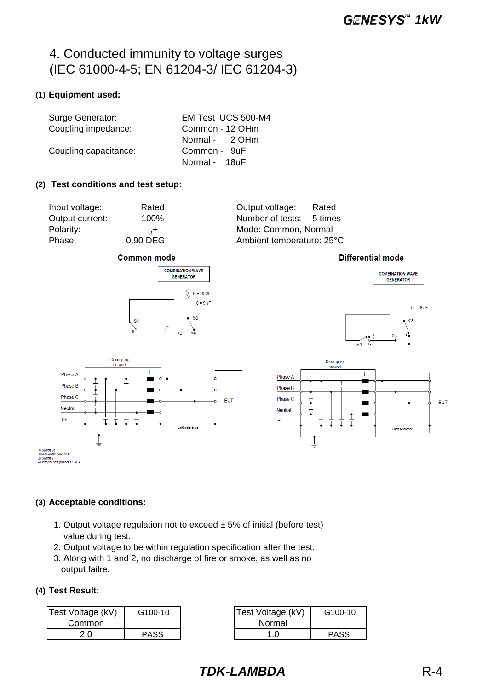# 4. Conducted immunity to voltage surges (IEC 61000-4-5; EN 61204-3/ IEC 61204-3)

## **(1) Equipment used:**

| Surge Generator:      | EM Test UCS 500-M4 |
|-----------------------|--------------------|
| Coupling impedance:   | Common - 12 OHm    |
|                       | Normal - 2 OHm     |
| Coupling capacitance: | Common - 9uF       |
|                       | Normal - 18uF      |

#### **(2) Test conditions and test setup:**

Input voltage: Rated Output voltage: Rated Output current: 100% Number of tests: 5 times Polarity:  $-$ ,  $+$  Mode: Common, Normal Phase: 0,90 DEG. Ambient temperature: 25°C



**Differential mode** 



#### **(3) Acceptable conditions:**

1. Output voltage regulation not to exceed  $\pm$  5% of initial (before test) value during test.

Farth reference

EUT

- 2. Output voltage to be within regulation specification after the test.
- 3. Along with 1 and 2, no discharge of fire or smoke, as well as no output failre.

#### **(4) Test Result:**

Phase C

Neutral

PF

1) Switch S1<br>-line to earth: position 0<br>2) Switch 2 c*n 2*<br>the test positions 1 to 3

| Test Voltage (kV) | G100-10     | Test Voltage (kV) | G100-10 |
|-------------------|-------------|-------------------|---------|
| Common            |             | Normal            |         |
|                   | <b>PASS</b> |                   | PASS    |

| ltage (kV)<br>mmon | G100-10     | Test Voltage (kV)<br>Normal | G100-10     |
|--------------------|-------------|-----------------------------|-------------|
| 2.0                | <b>PASS</b> |                             | <b>PASS</b> |

*TDK-LAMBDA* R-4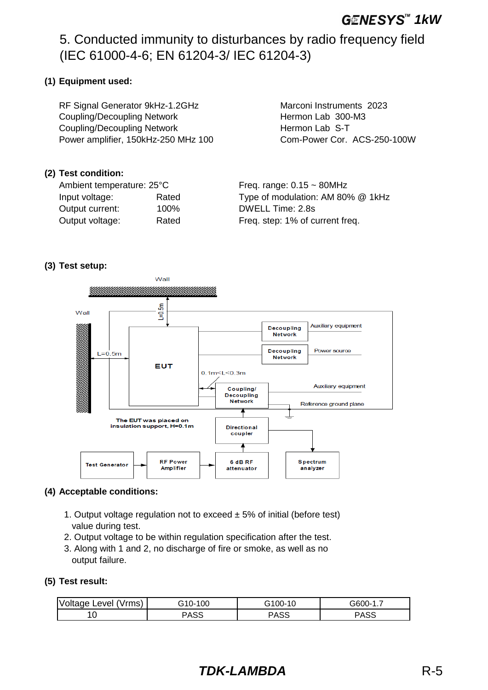# **GENESYS**<sup>*M*</sup> 1kW

# 5. Conducted immunity to disturbances by radio frequency field (IEC 61000-4-6; EN 61204-3/ IEC 61204-3)

## **(1) Equipment used:**

RF Signal Generator 9kHz-1.2GHz Marconi Instruments 2023 Coupling/Decoupling Network **Hermon Lab 300-M3** Coupling/Decoupling Network **Hermon Lab S-T** Power amplifier, 150kHz-250 MHz 100 Com-Power Cor. ACS-250-100W

## **(2) Test condition:**

Ambient temperature:  $25^{\circ}$ C Freq. range:  $0.15 \sim 80$ MHz Output current: 100% DWELL Time: 2.8s

Input voltage: Rated Type of modulation: AM 80% @ 1kHz Output voltage: Rated Freq. step: 1% of current freq.

#### **(3) Test setup:**



#### **(4) Acceptable conditions:**

- 1. Output voltage regulation not to exceed  $\pm$  5% of initial (before test) value during test.
- 2. Output voltage to be within regulation specification after the test.
- 3. Along with 1 and 2, no discharge of fire or smoke, as well as no output failure.

#### **(5) Test result:**

| Voltage Level (Vrms) | 100<br>G10-1 | `100- .<br>10<br>G | G600-′<br>. |
|----------------------|--------------|--------------------|-------------|
|                      | ∍ASS         | PASS               | PASS        |

# *TDK-LAMBDA* R-5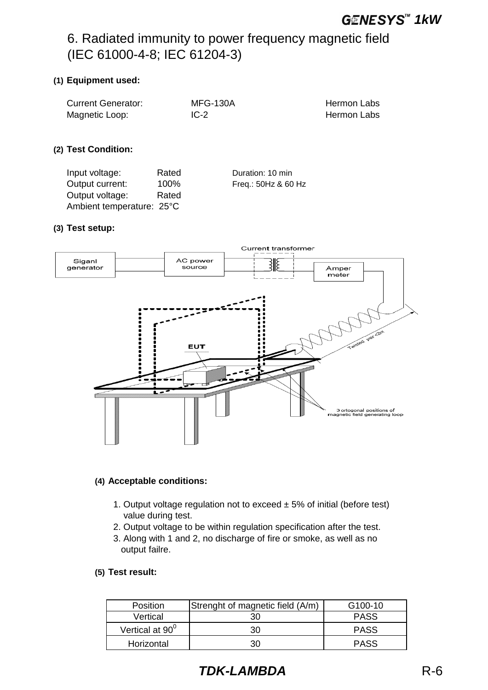# 6. Radiated immunity to power frequency magnetic field (IEC 61000-4-8; IEC 61204-3)

## **(1) Equipment used:**

| <b>Current Generator:</b> | <b>MFG-130A</b> | <b>Hermon Labs</b> |
|---------------------------|-----------------|--------------------|
| Magnetic Loop:            | $IC-2$          | <b>Hermon Labs</b> |
|                           |                 |                    |

## **(2) Test Condition:**

| Input voltage:            | Rated | Duration: 10 min    |
|---------------------------|-------|---------------------|
| Output current:           | 100%  | Freq.: 50Hz & 60 Hz |
| Output voltage:           | Rated |                     |
| Ambient temperature: 25°C |       |                     |

#### **(3) Test setup:**



## **(4) Acceptable conditions:**

- 1. Output voltage regulation not to exceed  $\pm$  5% of initial (before test) value during test.
- 2. Output voltage to be within regulation specification after the test.
- 3. Along with 1 and 2, no discharge of fire or smoke, as well as no output failre.

#### **(5) Test result:**

| <b>Position</b>    | Strenght of magnetic field (A/m) | G <sub>100</sub> -10 |
|--------------------|----------------------------------|----------------------|
| Vertical           | 30                               | <b>PASS</b>          |
| Vertical at $90^0$ | 30                               | <b>PASS</b>          |
| Horizontal         | 30                               | <b>PASS</b>          |